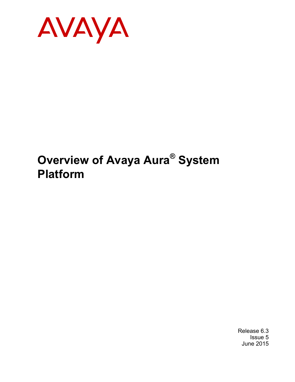

# **Overview of Avaya Aura® System Platform**

Release 6.3 Issue 5 June 2015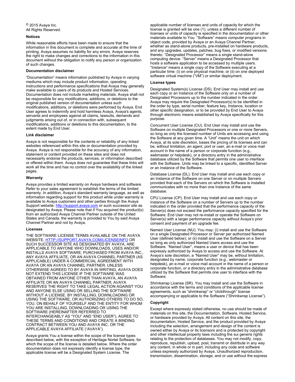### $\degree$  2015 Avaya Inc. All Rights Reserved.

### **Notices**

While reasonable efforts have been made to ensure that the information in this document is complete and accurate at the time of printing, Avaya assumes no liability for any errors. Avaya reserves the right to make changes and corrections to the information in this document without the obligation to notify any person or organization of such changes.

#### **Documentation disclaimer**

"Documentation" means information published by Avaya in varying mediums which may include product information, operating instructions and performance specifications that Avaya may generally make available to users of its products and Hosted Services. Documentation does not include marketing materials. Avaya shall not be responsible for any modifications, additions, or deletions to the original published version of documentation unless such modifications, additions, or deletions were performed by Avaya. End User agrees to indemnify and hold harmless Avaya, Avaya's agents, servants and employees against all claims, lawsuits, demands and judgments arising out of, or in connection with, subsequent modifications, additions or deletions to this documentation, to the extent made by End User.

#### **Link disclaimer**

Avaya is not responsible for the contents or reliability of any linked websites referenced within this site or documentation provided by Avaya. Avaya is not responsible for the accuracy of any information, statement or content provided on these sites and does not necessarily endorse the products, services, or information described or offered within them. Avaya does not guarantee that these links will work all the time and has no control over the availability of the linked pages.

### **Warranty**

Avaya provides a limited warranty on Avaya hardware and software. Refer to your sales agreement to establish the terms of the limited warranty. In addition, Avaya's standard warranty language, as well as information regarding support for this product while under warranty is available to Avaya customers and other parties through the Avaya Support website: [http://support.avaya.com](http://support.avaya.com/) or such successor site as designated by Avaya. Please note that if You acquired the product(s) from an authorized Avaya Channel Partner outside of the United States and Canada, the warranty is provided to You by said Avaya Channel Partner and not by Avaya.

#### **Licenses**

THE SOFTWARE LICENSE TERMS AVAILABLE ON THE AVAYA WEBSITE, [HTTP://SUPPORT.AVAYA.COM/LICENSEINFO](http://support.avaya.com/LicenseInfo) OR SUCH SUCCESSOR SITE AS DESIGNATED BY AVAYA, ARE APPLICABLE TO ANYONE WHO DOWNLOADS, USES AND/OR INSTALLS AVAYA SOFTWARE, PURCHASED FROM AVAYA INC. ANY AVAYA AFFILIATE, OR AN AVAYA CHANNEL PARTNER (AS APPLICABLE) UNDER A COMMERCIAL AGREEMENT WITH AVAYA OR AN AVAYA CHANNEL PARTNER. UNLESS OTHERWISE AGREED TO BY AVAYA IN WRITING, AVAYA DOES NOT EXTEND THIS LICENSE IF THE SOFTWARE WAS OBTAINED FROM ANYONE OTHER THAN AVAYA, AN AVAYA AFFILIATE OR AN AVAYA CHANNEL PARTNER; AVAYA RESERVES THE RIGHT TO TAKE LEGAL ACTION AGAINST YOU AND ANYONE ELSE USING OR SELLING THE SOFTWARE WITHOUT A LICENSE. BY INSTALLING, DOWNLOADING OR USING THE SOFTWARE, OR AUTHORIZING OTHERS TO DO SO, YOU, ON BEHALF OF YOURSELF AND THE ENTITY FOR WHOM YOU ARE INSTALLING, DOWNLOADING OR USING THE SOFTWARE (HEREINAFTER REFERRED TO INTERCHANGEABLY AS "YOU" AND "END USER"), AGREE TO THESE TERMS AND CONDITIONS AND CREATE A BINDING CONTRACT BETWEEN YOU AND AVAYA INC. OR THE APPLICABLE AVAYA AFFILIATE ("AVAYA").

Avaya grants You a license within the scope of the license types described below, with the exception of Heritage Nortel Software, for which the scope of the license is detailed below. Where the order documentation does not expressly identify a license type, the applicable license will be a Designated System License. The

applicable number of licenses and units of capacity for which the license is granted will be one (1), unless a different number of licenses or units of capacity is specified in the documentation or other materials available to You. "Software" means computer programs in object code, provided by Avaya or an Avaya Channel Partner, whether as stand-alone products, pre-installed on hardware products, and any upgrades, updates, patches, bug fixes, or modified versions thereto. "Designated Processor" means a single stand-alone computing device. "Server" means a Designated Processor that hosts a software application to be accessed by multiple users. "Instance" means a single copy of the Software executing at a particular time: (i) on one physical machine; or (ii) on one deployed software virtual machine ("VM") or similar deployment.

### **License types**

Designated System(s) License (DS). End User may install and use each copy or an Instance of the Software only on a number of Designated Processors up to the number indicated in the order. Avaya may require the Designated Processor(s) to be identified in the order by type, serial number, feature key, Instance, location or other specific designation, or to be provided by End User to Avaya through electronic means established by Avaya specifically for this purpose.

Concurrent User License (CU). End User may install and use the Software on multiple Designated Processors or one or more Servers, so long as only the licensed number of Units are accessing and using the Software at any given time. A "Unit" means the unit on which Avaya, at its sole discretion, bases the pricing of its licenses and can be, without limitation, an agent, port or user, an e-mail or voice mail account in the name of a person or corporate function (e.g. webmaster or helpdesk), or a directory entry in the administrative database utilized by the Software that permits one user to interface with the Software. Units may be linked to a specific, identified Server or an Instance of the Software.

Database License (DL). End User may install and use each copy or an Instance of the Software on one Server or on multiple Servers provided that each of the Servers on which the Software is installed communicates with no more than one Instance of the same database.

CPU License (CP). End User may install and use each copy or Instance of the Software on a number of Servers up to the number indicated in the order provided that the performance capacity of the Server(s) does not exceed the performance capacity specified for the Software. End User may not re-install or operate the Software on Server(s) with a larger performance capacity without Avaya's prior consent and payment of an upgrade fee.

Named User License (NU). You may: (i) install and use the Software on a single Designated Processor or Server per authorized Named User (defined below); or (ii) install and use the Software on a Server so long as only authorized Named Users access and use the Software. "Named User", means a user or device that has been expressly authorized by Avaya to access and use the Software. At Avaya's sole discretion, a "Named User" may be, without limitation, designated by name, corporate function (e.g., webmaster or helpdesk), an e-mail or voice mail account in the name of a person or corporate function, or a directory entry in the administrative database utilized by the Software that permits one user to interface with the Software.

Shrinkwrap License (SR). You may install and use the Software in accordance with the terms and conditions of the applicable license agreements, such as "shrinkwrap" or "clickthrough" license accompanying or applicable to the Software ("Shrinkwrap License").

#### **Copyright**

Except where expressly stated otherwise, no use should be made of materials on this site, the Documentation, Software, Hosted Service, or hardware provided by Avaya. All content on this site, the documentation, Hosted Service, and the product provided by Avaya including the selection, arrangement and design of the content is owned either by Avaya or its licensors and is protected by copyright and other intellectual property laws including the sui generis rights relating to the protection of databases. You may not modify, copy, reproduce, republish, upload, post, transmit or distribute in any way any content, in whole or in part, including any code and software unless expressly authorized by Avaya. Unauthorized reproduction, transmission, dissemination, storage, and or use without the express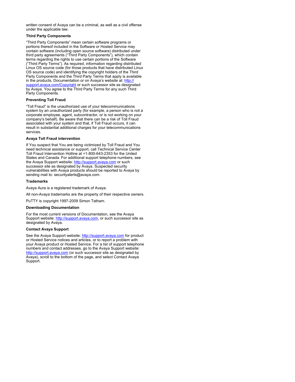written consent of Avaya can be a criminal, as well as a civil offense under the applicable law.

### **Third Party Components**

"Third Party Components" mean certain software programs or portions thereof included in the Software or Hosted Service may contain software (including open source software) distributed under third party agreements ("Third Party Components"), which contain terms regarding the rights to use certain portions of the Software ("Third Party Terms"). As required, information regarding distributed Linux OS source code (for those products that have distributed Linux OS source code) and identifying the copyright holders of the Third Party Components and the Third Party Terms that apply is available in the products, Documentation or on Avaya's website at: [http://](http://support.avaya.com/Copyright) [support.avaya.com/Copyright](http://support.avaya.com/Copyright) or such successor site as designated by Avaya. You agree to the Third Party Terms for any such Third Party Components.

### **Preventing Toll Fraud**

"Toll Fraud" is the unauthorized use of your telecommunications system by an unauthorized party (for example, a person who is not a corporate employee, agent, subcontractor, or is not working on your company's behalf). Be aware that there can be a risk of Toll Fraud associated with your system and that, if Toll Fraud occurs, it can result in substantial additional charges for your telecommunications services.

### **Avaya Toll Fraud intervention**

If You suspect that You are being victimized by Toll Fraud and You need technical assistance or support, call Technical Service Center Toll Fraud Intervention Hotline at +1-800-643-2353 for the United States and Canada. For additional support telephone numbers, see the Avaya Support website: <http://support.avaya.com> or such successor site as designated by Avaya. Suspected security vulnerabilities with Avaya products should be reported to Avaya by sending mail to: securityalerts@avaya.com.

#### **Trademarks**

Avaya Aura is a registered trademark of Avaya.

All non-Avaya trademarks are the property of their respective owners.

PuTTY is copyright 1997-2009 Simon Tatham.

#### **Downloading Documentation**

For the most current versions of Documentation, see the Avaya Support website: <http://support.avaya.com>, or such successor site as designated by Avaya.

### **Contact Avaya Support**

See the Avaya Support website:<http://support.avaya.com>for product or Hosted Service notices and articles, or to report a problem with your Avaya product or Hosted Service. For a list of support telephone numbers and contact addresses, go to the Avaya Support website: <http://support.avaya.com>(or such successor site as designated by Avaya), scroll to the bottom of the page, and select Contact Avaya Support.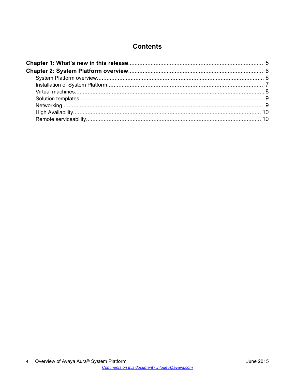## **Contents**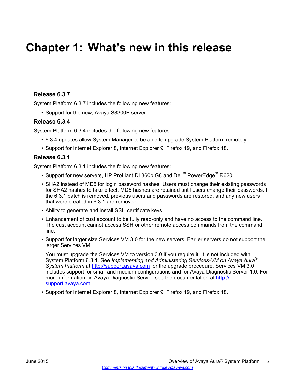# <span id="page-4-0"></span>**Chapter 1: What's new in this release**

### **Release 6.3.7**

System Platform 6.3.7 includes the following new features:

• Support for the new, Avaya S8300E server.

### **Release 6.3.4**

System Platform 6.3.4 includes the following new features:

- 6.3.4 updates allow System Manager to be able to upgrade System Platform remotely.
- Support for Internet Explorer 8, Internet Explorer 9, Firefox 19, and Firefox 18.

### **Release 6.3.1**

System Platform 6.3.1 includes the following new features:

- Support for new servers, HP ProLiant DL360p G8 and Dell™ PowerEdge™ R620.
- SHA2 instead of MD5 for login password hashes. Users must change their existing passwords for SHA2 hashes to take effect. MD5 hashes are retained until users change their passwords. If the 6.3.1 patch is removed, previous users and passwords are restored, and any new users that were created in 6.3.1 are removed.
- Ability to generate and install SSH certificate keys.
- Enhancement of cust account to be fully read-only and have no access to the command line. The cust account cannot access SSH or other remote access commands from the command line.
- Support for larger size Services VM 3.0 for the new servers. Earlier servers do not support the larger Services VM.

You must upgrade the Services VM to version 3.0 if you require it. It is not included with System Platform 6.3.1. See *Implementing and Administering Services-VM on Avaya Aura® System Platform* at [http://support.avaya.com](http://support.avaya.com/) for the upgrade procedure. Services VM 3.0 includes support for small and medium configurations and for Avaya Diagnostic Server 1.0. For more information on Avaya Diagnostic Server, see the documentation at [http://](http://support.avaya.com/) [support.avaya.com](http://support.avaya.com/).

• Support for Internet Explorer 8, Internet Explorer 9, Firefox 19, and Firefox 18.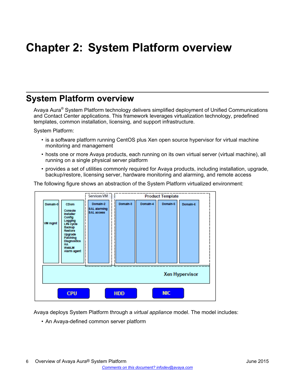# <span id="page-5-0"></span>**Chapter 2: System Platform overview**

## **System Platform overview**

Avaya Aura® System Platform technology delivers simplified deployment of Unified Communications and Contact Center applications. This framework leverages virtualization technology, predefined templates, common installation, licensing, and support infrastructure.

System Platform:

- is a software platform running CentOS plus Xen open source hypervisor for virtual machine monitoring and management
- hosts one or more Avaya products, each running on its own virtual server (virtual machine), all running on a single physical server platform
- provides a set of utilities commonly required for Avaya products, including installation, upgrade, backup/restore, licensing server, hardware monitoring and alarming, and remote access

The following figure shows an abstraction of the System Platform virtualized environment:



Avaya deploys System Platform through a *virtual appliance* model. The model includes:

• An Avaya-defined common server platform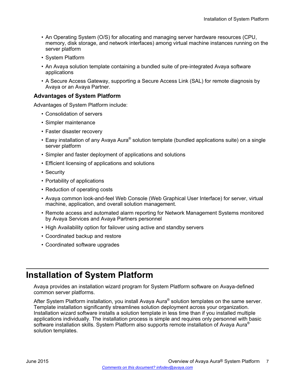- <span id="page-6-0"></span>• An Operating System (O/S) for allocating and managing server hardware resources (CPU, memory, disk storage, and network interfaces) among virtual machine instances running on the server platform
- System Platform
- An Avaya solution template containing a bundled suite of pre-integrated Avaya software applications
- A Secure Access Gateway, supporting a Secure Access Link (SAL) for remote diagnosis by Avaya or an Avaya Partner.

### **Advantages of System Platform**

Advantages of System Platform include:

- Consolidation of servers
- Simpler maintenance
- Faster disaster recovery
- Easy installation of any Avaya Aura® solution template (bundled applications suite) on a single server platform
- Simpler and faster deployment of applications and solutions
- Efficient licensing of applications and solutions
- Security
- Portability of applications
- Reduction of operating costs
- Avaya common look-and-feel Web Console (Web Graphical User Interface) for server, virtual machine, application, and overall solution management.
- Remote access and automated alarm reporting for Network Management Systems monitored by Avaya Services and Avaya Partners personnel
- High Availability option for failover using active and standby servers
- Coordinated backup and restore
- Coordinated software upgrades

## **Installation of System Platform**

Avaya provides an installation wizard program for System Platform software on Avaya-defined common server platforms.

After System Platform installation, you install Avaya Aura® solution templates on the same server. Template installation significantly streamlines solution deployment across your organization. Installation wizard software installs a solution template in less time than if you installed multiple applications individually. The installation process is simple and requires only personnel with basic software installation skills. System Platform also supports remote installation of Avaya Aura<sup>®</sup> solution templates.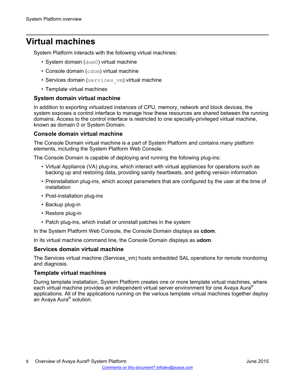## <span id="page-7-0"></span>**Virtual machines**

System Platform interacts with the following virtual machines:

- System domain (dom0) virtual machine
- Console domain (cdom) virtual machine
- Services domain (services vm) virtual machine
- Template virtual machines

### **System domain virtual machine**

In addition to exporting virtualized instances of CPU, memory, network and block devices, the system exposes a control interface to manage how these resources are shared between the running domains. Access to the control interface is restricted to one specially-privileged virtual machine, known as domain 0 or System Domain.

### **Console domain virtual machine**

The Console Domain virtual machine is a part of System Platform and contains many platform elements, including the System Platform Web Console.

The Console Domain is capable of deploying and running the following plug-ins:

- Virtual Appliance (VA) plug-ins, which interact with virtual appliances for operations such as backing up and restoring data, providing sanity heartbeats, and getting version information
- Preinstallation plug-ins, which accept parameters that are configured by the user at the time of installation
- Post-installation plug-ins
- Backup plug-in
- Restore plug-in
- Patch plug-ins, which install or uninstall patches in the system

In the System Platform Web Console, the Console Domain displays as **cdom**.

In its virtual machine command line, the Console Domain displays as **udom**.

### **Services domain virtual machine**

The Services virtual machine (Services vm) hosts embedded SAL operations for remote monitoring and diagnosis.

### **Template virtual machines**

During template installation, System Platform creates one or more template virtual machines, where each virtual machine provides an independent virtual server environment for one Avaya Aura® applications. All of the applications running on the various template virtual machines together deploy an Avaya Aura® solution.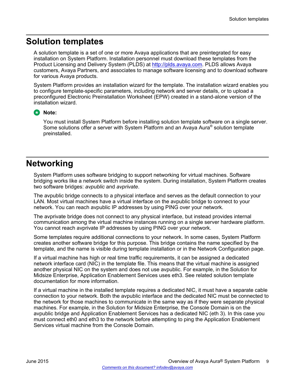## <span id="page-8-0"></span>**Solution templates**

A solution template is a set of one or more Avaya applications that are preintegrated for easy installation on System Platform. Installation personnel must download these templates from the Product Licensing and Delivery System (PLDS) at [http://plds.avaya.com.](http://plds.avaya.com) PLDS allows Avaya customers, Avaya Partners, and associates to manage software licensing and to download software for various Avaya products.

System Platform provides an installation wizard for the template. The installation wizard enables you to configure template-specific parameters, including network and server details, or to upload a preconfigured Electronic Preinstallation Worksheet (EPW) created in a stand-alone version of the installation wizard.

### **Note:**

You must install System Platform before installing solution template software on a single server. Some solutions offer a server with System Platform and an Avaya Aura® solution template preinstalled.

## **Networking**

System Platform uses software bridging to support networking for virtual machines. Software bridging works like a network switch inside the system. During installation, System Platform creates two software bridges: *avpublic* and *avprivate*.

The avpublic bridge connects to a physical interface and serves as the default connection to your LAN. Most virtual machines have a virtual interface on the avpublic bridge to connect to your network. You can reach avpublic IP addresses by using PING over your network.

The avprivate bridge does not connect to any physical interface, but instead provides internal communication among the virtual machine instances running on a single server hardware platform. You cannot reach avprivate IP addresses by using PING over your network.

Some templates require additional connections to your network. In some cases, System Platform creates another software bridge for this purpose. This bridge contains the name specified by the template, and the name is visible during template installation or in the Network Configuration page.

If a virtual machine has high or real time traffic requirements, it can be assigned a dedicated network interface card (NIC) in the template file. This means that the virtual machine is assigned another physical NIC on the system and does not use avpublic. For example, in the Solution for Midsize Enterprise, Application Enablement Services uses eth3. See related solution template documentation for more information.

If a virtual machine in the installed template requires a dedicated NIC, it must have a separate cable connection to your network. Both the avpublic interface and the dedicated NIC must be connected to the network for those machines to communicate in the same way as if they were separate physical machines. For example, in the Solution for Midsize Enterprise, the Console Domain is on the avpublic bridge and Application Enablement Services has a dedicated NIC (eth 3). In this case you must connect eth0 and eth3 to the network before attempting to ping the Application Enablement Services virtual machine from the Console Domain.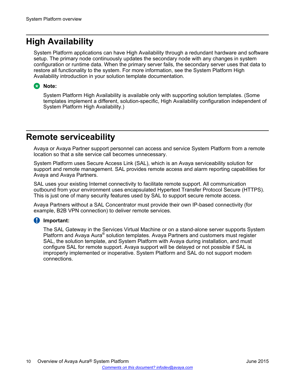## <span id="page-9-0"></span>**High Availability**

System Platform applications can have High Availability through a redundant hardware and software setup. The primary node continuously updates the secondary node with any changes in system configuration or runtime data. When the primary server fails, the secondary server uses that data to restore all functionality to the system. For more information, see the System Platform High Availability introduction in your solution template documentation.

### **B** Note:

System Platform High Availability is available only with supporting solution templates. (Some templates implement a different, solution-specific, High Availability configuration independent of System Platform High Availability.)

## **Remote serviceability**

Avaya or Avaya Partner support personnel can access and service System Platform from a remote location so that a site service call becomes unnecessary.

System Platform uses Secure Access Link (SAL), which is an Avaya serviceability solution for support and remote management. SAL provides remote access and alarm reporting capabilities for Avaya and Avaya Partners.

SAL uses your existing Internet connectivity to facilitate remote support. All communication outbound from your environment uses encapsulated Hypertext Transfer Protocol Secure (HTTPS). This is just one of many security features used by SAL to support secure remote access.

Avaya Partners without a SAL Concentrator must provide their own IP-based connectivity (for example, B2B VPN connection) to deliver remote services.

### **Important:**

The SAL Gateway in the Services Virtual Machine or on a stand-alone server supports System Platform and Avaya Aura® solution templates. Avaya Partners and customers must register SAL, the solution template, and System Platform with Avaya during installation, and must configure SAL for remote support. Avaya support will be delayed or not possible if SAL is improperly implemented or inoperative. System Platform and SAL do not support modem connections.